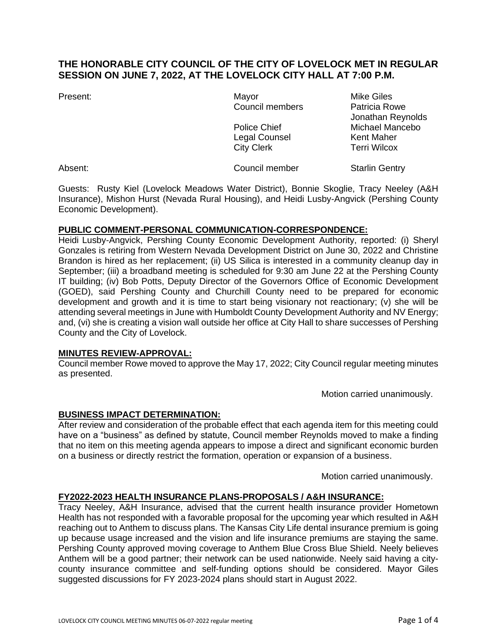# **THE HONORABLE CITY COUNCIL OF THE CITY OF LOVELOCK MET IN REGULAR SESSION ON JUNE 7, 2022, AT THE LOVELOCK CITY HALL AT 7:00 P.M.**

Present: The Contract of Mayor Mayor Mike Giles Council members Patricia Rowe Legal Counsel **Kent Maher** City Clerk Terri Wilcox

Jonathan Reynolds Police Chief Michael Mancebo

Absent: Council member Starlin Gentry

Guests: Rusty Kiel (Lovelock Meadows Water District), Bonnie Skoglie, Tracy Neeley (A&H Insurance), Mishon Hurst (Nevada Rural Housing), and Heidi Lusby-Angvick (Pershing County Economic Development).

## **PUBLIC COMMENT-PERSONAL COMMUNICATION-CORRESPONDENCE:**

Heidi Lusby-Angvick, Pershing County Economic Development Authority, reported: (i) Sheryl Gonzales is retiring from Western Nevada Development District on June 30, 2022 and Christine Brandon is hired as her replacement; (ii) US Silica is interested in a community cleanup day in September; (iii) a broadband meeting is scheduled for 9:30 am June 22 at the Pershing County IT building; (iv) Bob Potts, Deputy Director of the Governors Office of Economic Development (GOED), said Pershing County and Churchill County need to be prepared for economic development and growth and it is time to start being visionary not reactionary; (v) she will be attending several meetings in June with Humboldt County Development Authority and NV Energy; and, (vi) she is creating a vision wall outside her office at City Hall to share successes of Pershing County and the City of Lovelock.

## **MINUTES REVIEW-APPROVAL:**

Council member Rowe moved to approve the May 17, 2022; City Council regular meeting minutes as presented.

Motion carried unanimously.

## **BUSINESS IMPACT DETERMINATION:**

After review and consideration of the probable effect that each agenda item for this meeting could have on a "business" as defined by statute, Council member Reynolds moved to make a finding that no item on this meeting agenda appears to impose a direct and significant economic burden on a business or directly restrict the formation, operation or expansion of a business.

Motion carried unanimously.

## **FY2022-2023 HEALTH INSURANCE PLANS-PROPOSALS / A&H INSURANCE:**

Tracy Neeley, A&H Insurance, advised that the current health insurance provider Hometown Health has not responded with a favorable proposal for the upcoming year which resulted in A&H reaching out to Anthem to discuss plans. The Kansas City Life dental insurance premium is going up because usage increased and the vision and life insurance premiums are staying the same. Pershing County approved moving coverage to Anthem Blue Cross Blue Shield. Neely believes Anthem will be a good partner; their network can be used nationwide. Neely said having a citycounty insurance committee and self-funding options should be considered. Mayor Giles suggested discussions for FY 2023-2024 plans should start in August 2022.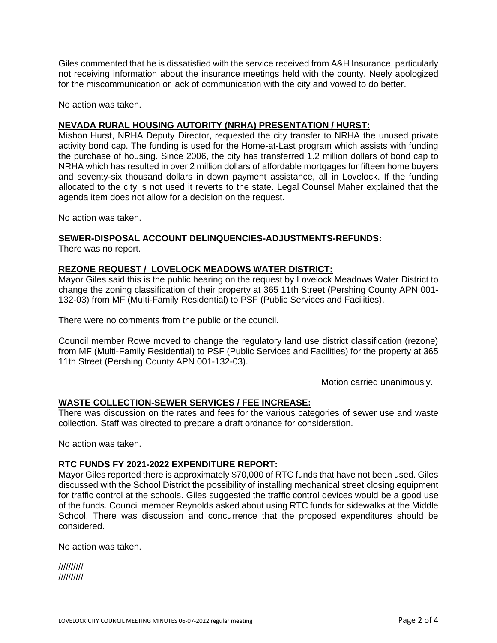Giles commented that he is dissatisfied with the service received from A&H Insurance, particularly not receiving information about the insurance meetings held with the county. Neely apologized for the miscommunication or lack of communication with the city and vowed to do better.

No action was taken.

## **NEVADA RURAL HOUSING AUTORITY (NRHA) PRESENTATION / HURST:**

Mishon Hurst, NRHA Deputy Director, requested the city transfer to NRHA the unused private activity bond cap. The funding is used for the Home-at-Last program which assists with funding the purchase of housing. Since 2006, the city has transferred 1.2 million dollars of bond cap to NRHA which has resulted in over 2 million dollars of affordable mortgages for fifteen home buyers and seventy-six thousand dollars in down payment assistance, all in Lovelock. If the funding allocated to the city is not used it reverts to the state. Legal Counsel Maher explained that the agenda item does not allow for a decision on the request.

No action was taken.

## **SEWER-DISPOSAL ACCOUNT DELINQUENCIES-ADJUSTMENTS-REFUNDS:**

There was no report.

### **REZONE REQUEST / LOVELOCK MEADOWS WATER DISTRICT:**

Mayor Giles said this is the public hearing on the request by Lovelock Meadows Water District to change the zoning classification of their property at 365 11th Street (Pershing County APN 001- 132-03) from MF (Multi-Family Residential) to PSF (Public Services and Facilities).

There were no comments from the public or the council.

Council member Rowe moved to change the regulatory land use district classification (rezone) from MF (Multi-Family Residential) to PSF (Public Services and Facilities) for the property at 365 11th Street (Pershing County APN 001-132-03).

Motion carried unanimously.

#### **WASTE COLLECTION-SEWER SERVICES / FEE INCREASE:**

There was discussion on the rates and fees for the various categories of sewer use and waste collection. Staff was directed to prepare a draft ordnance for consideration.

No action was taken.

### **RTC FUNDS FY 2021-2022 EXPENDITURE REPORT:**

Mayor Giles reported there is approximately \$70,000 of RTC funds that have not been used. Giles discussed with the School District the possibility of installing mechanical street closing equipment for traffic control at the schools. Giles suggested the traffic control devices would be a good use of the funds. Council member Reynolds asked about using RTC funds for sidewalks at the Middle School. There was discussion and concurrence that the proposed expenditures should be considered.

No action was taken.

| ////////// |  |
|------------|--|
| ////////// |  |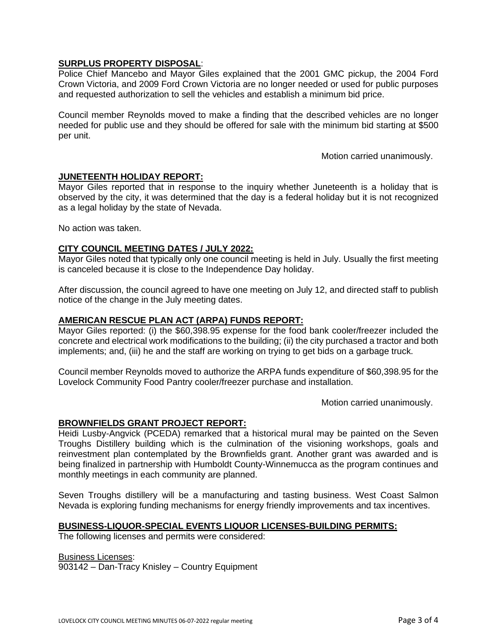## **SURPLUS PROPERTY DISPOSAL**:

Police Chief Mancebo and Mayor Giles explained that the 2001 GMC pickup, the 2004 Ford Crown Victoria, and 2009 Ford Crown Victoria are no longer needed or used for public purposes and requested authorization to sell the vehicles and establish a minimum bid price.

Council member Reynolds moved to make a finding that the described vehicles are no longer needed for public use and they should be offered for sale with the minimum bid starting at \$500 per unit.

Motion carried unanimously.

### **JUNETEENTH HOLIDAY REPORT:**

Mayor Giles reported that in response to the inquiry whether Juneteenth is a holiday that is observed by the city, it was determined that the day is a federal holiday but it is not recognized as a legal holiday by the state of Nevada.

No action was taken.

#### **CITY COUNCIL MEETING DATES / JULY 2022:**

Mayor Giles noted that typically only one council meeting is held in July. Usually the first meeting is canceled because it is close to the Independence Day holiday.

After discussion, the council agreed to have one meeting on July 12, and directed staff to publish notice of the change in the July meeting dates.

#### **AMERICAN RESCUE PLAN ACT (ARPA) FUNDS REPORT:**

Mayor Giles reported: (i) the \$60,398.95 expense for the food bank cooler/freezer included the concrete and electrical work modifications to the building; (ii) the city purchased a tractor and both implements; and, (iii) he and the staff are working on trying to get bids on a garbage truck.

Council member Reynolds moved to authorize the ARPA funds expenditure of \$60,398.95 for the Lovelock Community Food Pantry cooler/freezer purchase and installation.

Motion carried unanimously.

#### **BROWNFIELDS GRANT PROJECT REPORT:**

Heidi Lusby-Angvick (PCEDA) remarked that a historical mural may be painted on the Seven Troughs Distillery building which is the culmination of the visioning workshops, goals and reinvestment plan contemplated by the Brownfields grant. Another grant was awarded and is being finalized in partnership with Humboldt County-Winnemucca as the program continues and monthly meetings in each community are planned.

Seven Troughs distillery will be a manufacturing and tasting business. West Coast Salmon Nevada is exploring funding mechanisms for energy friendly improvements and tax incentives.

#### **BUSINESS-LIQUOR-SPECIAL EVENTS LIQUOR LICENSES-BUILDING PERMITS:**

The following licenses and permits were considered:

Business Licenses:

903142 – Dan-Tracy Knisley – Country Equipment